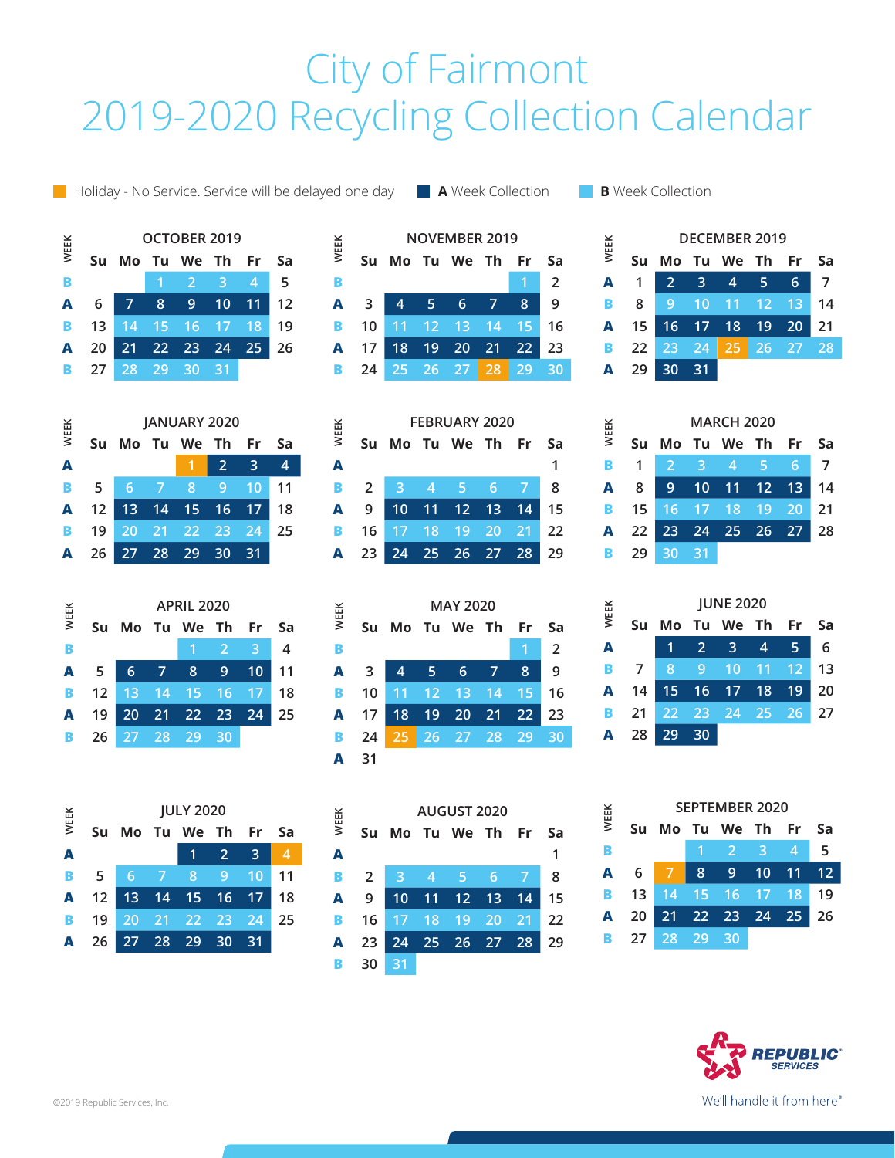## City of Fairmont 2019-2020 Recycling Collection Calendar

**A** Holiday - No Service. Service will be delayed one day **A** Week Collection **B B** Week Collection

**NOVEMBER 2019 Su Mo Tu We Th Fr Sa B 1 2 A 3 4 5 6 7 8 9 B 10 11 12 13 14 15 16 A 17 18 19 20 21 22 23 B 24 25 26 27 28 29 30**

| WEEK | <b>DECEMBER 2019</b> |                               |      |  |  |  |    |  |  |  |
|------|----------------------|-------------------------------|------|--|--|--|----|--|--|--|
|      |                      | Su Mo Tu We Th Fr Sa          |      |  |  |  |    |  |  |  |
|      |                      | A 1 2 3 4 5 6                 |      |  |  |  |    |  |  |  |
|      | <b>B</b> 8           | 9 10 11 12 13                 |      |  |  |  | 14 |  |  |  |
|      |                      | A 15 16 17 18 19 20           |      |  |  |  | 21 |  |  |  |
|      |                      | <b>B</b> 22 23 24 25 26 27 28 |      |  |  |  |    |  |  |  |
|      | $A$ 29               | 30                            | - 31 |  |  |  |    |  |  |  |

| WEEK | <b>MARCH 2020</b> |    |      |                                     |  |  |      |  |  |
|------|-------------------|----|------|-------------------------------------|--|--|------|--|--|
|      | <b>Su</b>         |    |      | Mo Tu We Th Fr Sa                   |  |  |      |  |  |
| В    | $\overline{1}$    |    |      | $2 \quad 3 \quad 4 \quad 5 \quad 6$ |  |  | 7    |  |  |
|      | <b>A</b> 8        |    |      | 9 10 11 12 13 14                    |  |  |      |  |  |
|      |                   |    |      | <b>B</b> 15 16 17 18 19 20          |  |  | 21   |  |  |
|      |                   |    |      | A 22 23 24 25 26 27                 |  |  | l 28 |  |  |
|      | <b>B</b> 29       | 30 | - 31 |                                     |  |  |      |  |  |

| <b>WEEK</b> | <b>JUNE 2020</b> |                         |                |          |      |     |    |  |  |
|-------------|------------------|-------------------------|----------------|----------|------|-----|----|--|--|
|             | Su               | Mo                      | - Tu           | We Th    |      | Fr  | Sa |  |  |
| A           |                  | 1                       | $\overline{2}$ | 3        | A,   | 5   | 6  |  |  |
| B           |                  | $\overline{\mathbf{8}}$ | 9              | 10       | 11   | 12  | 13 |  |  |
| A           | 14               |                         | 15 16 17       |          | - 18 | 19  | 20 |  |  |
| в           | 21               | 22                      |                | 23 24 25 |      | -26 | 27 |  |  |
| A           | 28               |                         | 30             |          |      |     |    |  |  |

| WEEK | <b>SEPTEMBER 2020</b> |       |   |                        |                    |   |           |  |  |
|------|-----------------------|-------|---|------------------------|--------------------|---|-----------|--|--|
|      | Su                    |       |   | Mo Tu We Th Fr         |                    |   | <b>Sa</b> |  |  |
| B    |                       |       |   |                        | $2 \times 3$       | ♠ | 5         |  |  |
| A    | $6\overline{6}$       |       | 8 | 9                      | $\overline{10}$ 11 |   | 12        |  |  |
| B.   |                       |       |   | 13  14  15  16  17  18 |                    |   | 19        |  |  |
| A    | -20                   |       |   | 21  22  23  24  25     |                    |   | 26        |  |  |
| B.   | - 27 I                | 28 29 |   | 30                     |                    |   |           |  |  |



| WEEK | OCTOBER 2019 |       |       |                |      |                |    |  |  |
|------|--------------|-------|-------|----------------|------|----------------|----|--|--|
|      | <b>Su</b>    |       |       | Mo Tu We Th Fr |      |                | Sa |  |  |
| B    |              |       |       | Ø              | -3   | $\overline{4}$ | 5  |  |  |
| А    | 6            | 7     | 8     | 9 <sup>°</sup> | 10   | 11             | 12 |  |  |
| В    | 13           | 14    |       | 15 16          | 17   | 18             | 19 |  |  |
| А    | 20           | 21    | 22 23 |                | 24   | 25             | 26 |  |  |
| В    | 27           | 28 29 |       | $-30$          | - 31 |                |    |  |  |
|      |              |       |       |                |      |                |    |  |  |
|      |              |       |       |                |      |                |    |  |  |







| <b>WEEK</b> | AUGUST 2020    |                |                |             |    |    |    |  |  |
|-------------|----------------|----------------|----------------|-------------|----|----|----|--|--|
|             | Su             | Mo             |                | Tu We Th Fr |    |    | Sa |  |  |
| A           |                |                |                |             |    |    |    |  |  |
| В           | $\overline{2}$ | $\overline{3}$ | $\overline{4}$ | ♦           | 6  |    | 8  |  |  |
| A           | -9             | 10             | $-11$          | $-12$       | 13 | 14 | 15 |  |  |
| В           | 16             | 17             | $-18$          | 19          | 20 | 21 | 22 |  |  |
| A           | 23             | 24             |                | 25 26 27    |    | 28 | 29 |  |  |
| В           | 30             | 31             |                |             |    |    |    |  |  |

**A 1 B 2 3 4 5 6 7 8 A 9 10 11 12 13 14 15 B 16 17 18 19 20 21 22 A 23 24 25 26 27 28 29**

**WEEK**

**WEEK**

| <b>WEEK</b> | <b>MAY 2020</b> |    |                 |          |                 |    |    |  |  |
|-------------|-----------------|----|-----------------|----------|-----------------|----|----|--|--|
|             | Su              | Mo |                 | Tu We Th |                 | Fr | Sa |  |  |
| в           |                 |    |                 |          |                 |    | 2  |  |  |
| A           | 3               | 4  | -5              | 6        |                 | 8  | 9  |  |  |
| в           | 10              | 11 | $\overline{12}$ | 13       | 14              | 15 | 16 |  |  |
| A           | 17              | 18 | 19              | 20       | $\overline{21}$ | 22 | 23 |  |  |
| в           | 24              | 25 | 26              | 27 28    |                 | 29 | 30 |  |  |
| A           | 31              |    |                 |          |                 |    |    |  |  |

**FEBRUARY 2020 Su Mo Tu We Th Fr Sa**

| $\ddot{\phantom{0}}$ |                   |  | Su Mo Tu We Th Fr Sa  |  |    |
|----------------------|-------------------|--|-----------------------|--|----|
|                      |                   |  |                       |  |    |
|                      |                   |  | <b>2</b> 3 4 5 6 7    |  | -8 |
|                      |                   |  | 1 9 10 11 12 13 14 15 |  |    |
|                      |                   |  | 16 17 18 19 20 21 22  |  |    |
|                      |                   |  | 23 24 25 26 27 28 29  |  |    |
|                      | $30\overline{31}$ |  |                       |  |    |

We'll handle it from here.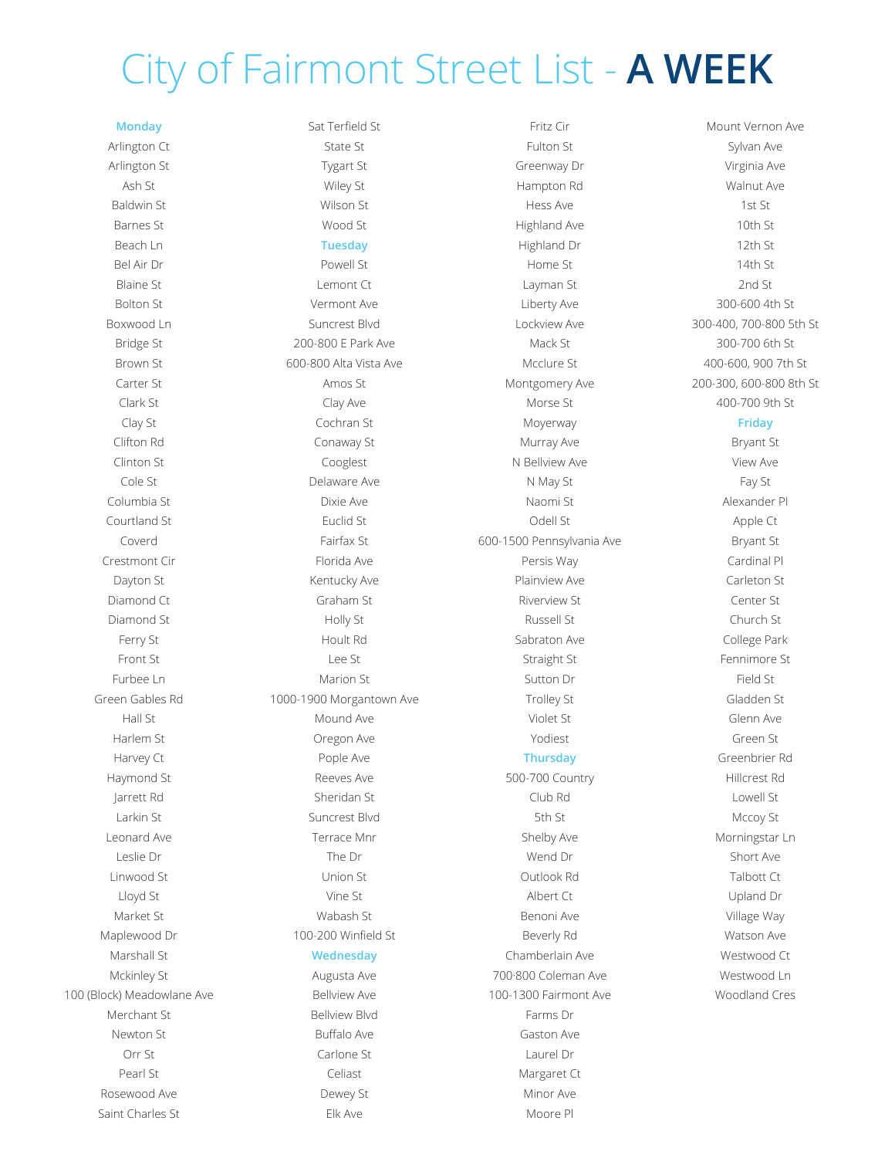# City of Fairmont Street List - **A WEEK**

### **Monday**

Arlington Ct Arlington St Ash St Baldwin St Barnes St Beach Ln Bel Air Dr Blaine St Bolton St Boxwood Ln Bridge St Brown St Carter St Clark St Clay St Clifton Rd Clinton St Cole St Columbia St Courtland St Coverd Crestmont Cir Dayton St Diamond Ct Diamond St Ferry St Front St Furbee Ln Green Gables Rd Hall St Harlem St Harvey Ct Haymond St Jarrett Rd Larkin St Leonard Ave Leslie Dr Linwood St Lloyd St Market St Maplewood Dr Marshall St Mckinley St 100 (Block) Meadowlane Ave Merchant St Newton St Orr St Pearl St Rosewood Ave Saint Charles St

Sat Terfield St State St Tygart St Wiley St Wilson St Wood St **Tuesday** Powell St Lemont Ct Vermont Ave Suncrest Blvd 200-800 E Park Ave 600-800 Alta Vista Ave Amos St Clay Ave Cochran St Conaway St Cooglest Delaware Ave Dixie Ave Euclid St Fairfax St Florida Ave Kentucky Ave Graham St Holly St Hoult Rd Lee St Marion St 1000-1900 Morgantown Ave Mound Ave Oregon Ave Pople Ave Reeves Ave Sheridan St Suncrest Blvd Terrace Mnr The Dr Union St Vine St Wabash St 100-200 Winfield St **Wednesday** Augusta Ave Bellview Ave Bellview Blvd Buffalo Ave Carlone St Celiast

> Dewey St Elk Ave

Fritz Cir Fulton St Greenway Dr Hampton Rd Hess Ave Highland Ave Highland Dr Home St Layman St Liberty Ave Lockview Ave Mack St Mcclure St Montgomery Ave Morse St Moyerway Murray Ave N Bellview Ave N May St Naomi St Odell St 600-1500 Pennsylvania Ave Persis Way Plainview Ave Riverview St Russell St Sabraton Ave Straight St Sutton Dr Trolley St Violet St Yodiest **Thursday** 500-700 Country Club Rd 5th St Shelby Ave Wend Dr Outlook Rd Albert Ct Benoni Ave Beverly Rd Chamberlain Ave 700·800 Coleman Ave 100-1300 Fairmont Ave Farms Dr Gaston Ave Laurel Dr Margaret Ct Minor Ave Moore Pl

Sylvan Ave Virginia Ave Walnut Ave 1st St 10th St 12th St 14th St 2nd St 300-600 4th St 300-400, 700-800 5th St 300-700 6th St 400-600, 900 7th St 200-300, 600-800 8th St 400-700 9th St

Mount Vernon Ave

### **Friday**

Bryant St View Ave Fay St Alexander Pl Apple Ct Bryant St Cardinal Pl Carleton St Center St Church St College Park Fennimore St Field St Gladden St Glenn Ave Green St Greenbrier Rd Hillcrest Rd Lowell St Mccoy St Morningstar Ln Short Ave Talbott Ct Upland Dr Village Way Watson Ave Westwood Ct Westwood Ln Woodland Cres